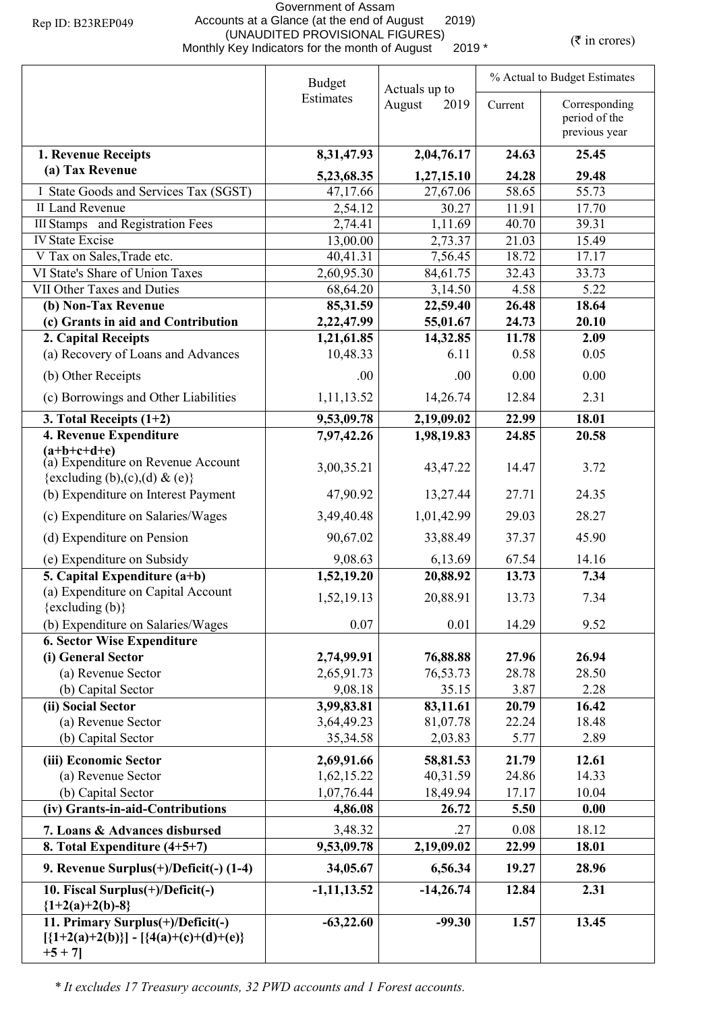## Government of Assam Accounts at a Glance (at the end of August 2019) (UNAUDITED PROVISIONAL FIGURES)<br>Monthly Key Indicators for the month of August 2019 \* (₹ in crores)

|                                                                                                 | <b>Budget</b>            | Actuals up to        | % Actual to Budget Estimates |                                                 |  |
|-------------------------------------------------------------------------------------------------|--------------------------|----------------------|------------------------------|-------------------------------------------------|--|
|                                                                                                 | Estimates                | August<br>2019       | Current                      | Corresponding<br>period of the<br>previous year |  |
| 1. Revenue Receipts                                                                             | 8,31,47.93               | 2,04,76.17           | 24.63                        | 25.45                                           |  |
| (a) Tax Revenue                                                                                 | 5,23,68.35               | 1,27,15.10           | 24.28                        | 29.48                                           |  |
| I State Goods and Services Tax (SGST)                                                           | 47,17.66                 | 27,67.06             | 58.65                        | 55.73                                           |  |
| <b>II Land Revenue</b>                                                                          | 2,54.12                  | 30.27                | 11.91                        | 17.70                                           |  |
| <b>III Stamps</b> and Registration Fees                                                         | 2,74.41                  | 1,11.69              | 40.70                        | 39.31                                           |  |
| <b>IV State Excise</b>                                                                          | 13,00.00                 | 2,73.37              | 21.03                        | 15.49                                           |  |
| V Tax on Sales, Trade etc.                                                                      | 40,41.31                 | 7,56.45              | 18.72                        | 17.17                                           |  |
| VI State's Share of Union Taxes                                                                 | 2,60,95.30               | 84,61.75             | 32.43                        | 33.73                                           |  |
| VII Other Taxes and Duties                                                                      | 68,64.20                 | 3,14.50              | 4.58                         | 5.22                                            |  |
| (b) Non-Tax Revenue<br>(c) Grants in aid and Contribution                                       | 85,31.59<br>2,22,47.99   | 22,59.40             | 26.48<br>24.73               | 18.64<br>20.10                                  |  |
| 2. Capital Receipts                                                                             | 1,21,61.85               | 55,01.67<br>14,32.85 | 11.78                        | 2.09                                            |  |
| (a) Recovery of Loans and Advances                                                              | 10,48.33                 | 6.11                 | 0.58                         | 0.05                                            |  |
|                                                                                                 |                          |                      |                              |                                                 |  |
| (b) Other Receipts                                                                              | .00.                     | .00.                 | 0.00                         | 0.00                                            |  |
| (c) Borrowings and Other Liabilities                                                            | 1,11,13.52               | 14,26.74             | 12.84                        | 2.31                                            |  |
| 3. Total Receipts $(1+2)$                                                                       | 9,53,09.78               | 2,19,09.02           | 22.99                        | 18.01                                           |  |
| <b>4. Revenue Expenditure</b>                                                                   | 7,97,42.26               | 1,98,19.83           | 24.85                        | 20.58                                           |  |
| $(a+b+c+d+e)$<br>(a) Expenditure on Revenue Account                                             |                          |                      |                              |                                                 |  |
| {excluding (b),(c),(d) & (e)}                                                                   | 3,00,35.21               | 43,47.22             | 14.47                        | 3.72                                            |  |
| (b) Expenditure on Interest Payment                                                             | 47,90.92                 | 13,27.44             | 27.71                        | 24.35                                           |  |
| (c) Expenditure on Salaries/Wages                                                               | 3,49,40.48               | 1,01,42.99           | 29.03                        | 28.27                                           |  |
| (d) Expenditure on Pension                                                                      | 90,67.02                 | 33,88.49             | 37.37                        | 45.90                                           |  |
| (e) Expenditure on Subsidy                                                                      | 9,08.63                  | 6,13.69              | 67.54                        | 14.16                                           |  |
| 5. Capital Expenditure $(a+b)$                                                                  | 1,52,19.20               | 20,88.92             | 13.73                        | 7.34                                            |  |
| (a) Expenditure on Capital Account                                                              | 1,52,19.13               | 20,88.91             | 13.73                        | 7.34                                            |  |
| $\{excluding (b)\}$                                                                             |                          |                      |                              |                                                 |  |
| (b) Expenditure on Salaries/Wages                                                               | 0.07                     | 0.01                 | 14.29                        | 9.52                                            |  |
| <b>6. Sector Wise Expenditure</b><br>(i) General Sector                                         |                          |                      | 27.96                        | 26.94                                           |  |
| (a) Revenue Sector                                                                              | 2,74,99.91<br>2,65,91.73 | 76,88.88<br>76,53.73 | 28.78                        | 28.50                                           |  |
| (b) Capital Sector                                                                              | 9,08.18                  | 35.15                | 3.87                         | 2.28                                            |  |
| (ii) Social Sector                                                                              | 3,99,83.81               | 83,11.61             | 20.79                        | 16.42                                           |  |
| (a) Revenue Sector                                                                              | 3,64,49.23               | 81,07.78             | 22.24                        | 18.48                                           |  |
| (b) Capital Sector                                                                              | 35, 34. 58               | 2,03.83              | 5.77                         | 2.89                                            |  |
| (iii) Economic Sector                                                                           | 2,69,91.66               | 58,81.53             | 21.79                        | 12.61                                           |  |
| (a) Revenue Sector                                                                              | 1,62,15.22               | 40,31.59             | 24.86                        | 14.33                                           |  |
| (b) Capital Sector                                                                              | 1,07,76.44               | 18,49.94             | 17.17                        | 10.04                                           |  |
| (iv) Grants-in-aid-Contributions                                                                | 4,86.08                  | 26.72                | 5.50                         | 0.00                                            |  |
| 7. Loans & Advances disbursed                                                                   | 3,48.32                  | .27                  | 0.08                         | 18.12                                           |  |
| 8. Total Expenditure (4+5+7)                                                                    | 9,53,09.78               | 2,19,09.02           | 22.99                        | 18.01                                           |  |
| 9. Revenue Surplus(+)/Deficit(-) (1-4)                                                          | 34,05.67                 | 6,56.34              | 19.27                        | 28.96                                           |  |
| 10. Fiscal Surplus(+)/Deficit(-)                                                                | $-1, 11, 13.52$          | $-14,26.74$          | 12.84                        | 2.31                                            |  |
| ${1+2(a)+2(b)-8}$                                                                               |                          |                      |                              |                                                 |  |
| 11. Primary Surplus(+)/Deficit(-)<br>$[\{1+2(a)+2(b)\}] - [\{4(a)+(c)+(d)+(e)\}]$<br>$+5 + 7$ ] | $-63,22.60$              | $-99.30$             | 1.57                         | 13.45                                           |  |

*\* It excludes 17 Treasury accounts, 32 PWD accounts and 1 Forest accounts.*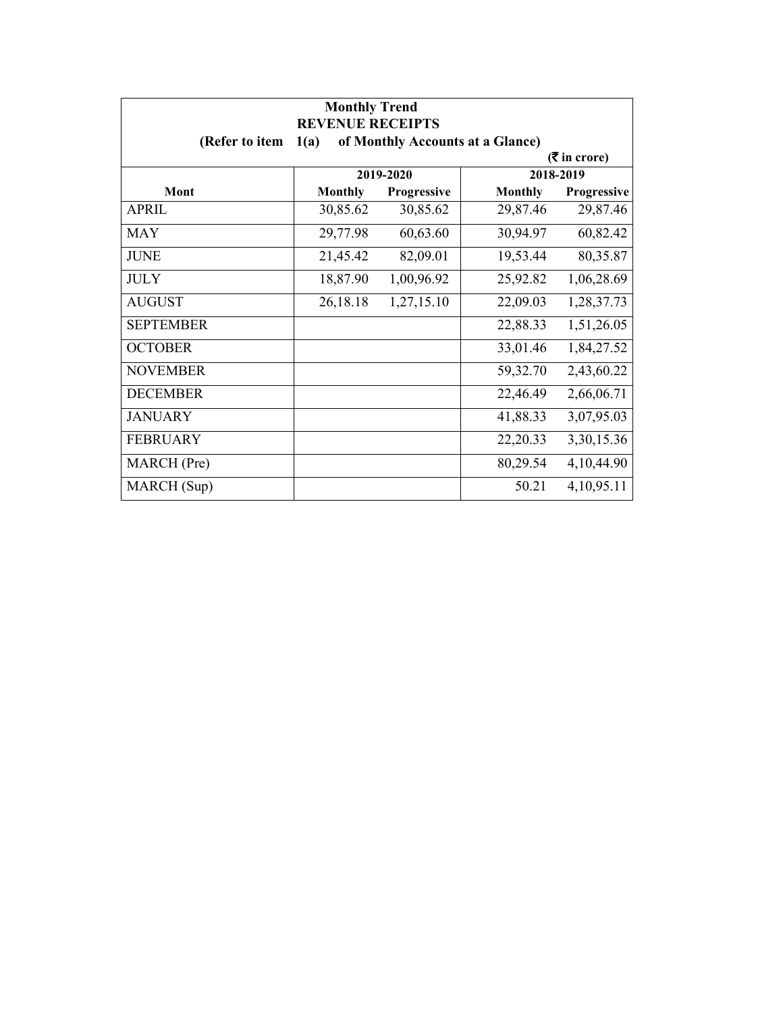| <b>Monthly Trend</b><br><b>REVENUE RECEIPTS</b> |                |             |                                  |               |
|-------------------------------------------------|----------------|-------------|----------------------------------|---------------|
| (Refer to item                                  | 1(a)           |             | of Monthly Accounts at a Glance) |               |
| $(3\overline{5})$ in crore)                     |                |             |                                  |               |
|                                                 |                | 2019-2020   |                                  | 2018-2019     |
| Mont                                            | <b>Monthly</b> | Progressive | <b>Monthly</b>                   | Progressive   |
| <b>APRIL</b>                                    | 30,85.62       | 30,85.62    | 29,87.46                         | 29,87.46      |
| <b>MAY</b>                                      | 29,77.98       | 60,63.60    | 30,94.97                         | 60,82.42      |
| <b>JUNE</b>                                     | 21,45.42       | 82,09.01    | 19,53.44                         | 80,35.87      |
| <b>JULY</b>                                     | 18,87.90       | 1,00,96.92  | 25,92.82                         | 1,06,28.69    |
| <b>AUGUST</b>                                   | 26,18.18       | 1,27,15.10  | 22,09.03                         | 1,28,37.73    |
| <b>SEPTEMBER</b>                                |                |             | 22,88.33                         | 1,51,26.05    |
| <b>OCTOBER</b>                                  |                |             | 33,01.46                         | 1,84,27.52    |
| <b>NOVEMBER</b>                                 |                |             | 59,32.70                         | 2,43,60.22    |
| <b>DECEMBER</b>                                 |                |             | 22,46.49                         | 2,66,06.71    |
| <b>JANUARY</b>                                  |                |             | 41,88.33                         | 3,07,95.03    |
| <b>FEBRUARY</b>                                 |                |             | 22,20.33                         | 3,30,15.36    |
| MARCH (Pre)                                     |                |             | 80,29.54                         | 4,10,44.90    |
| MARCH (Sup)                                     |                |             | 50.21                            | 4, 10, 95. 11 |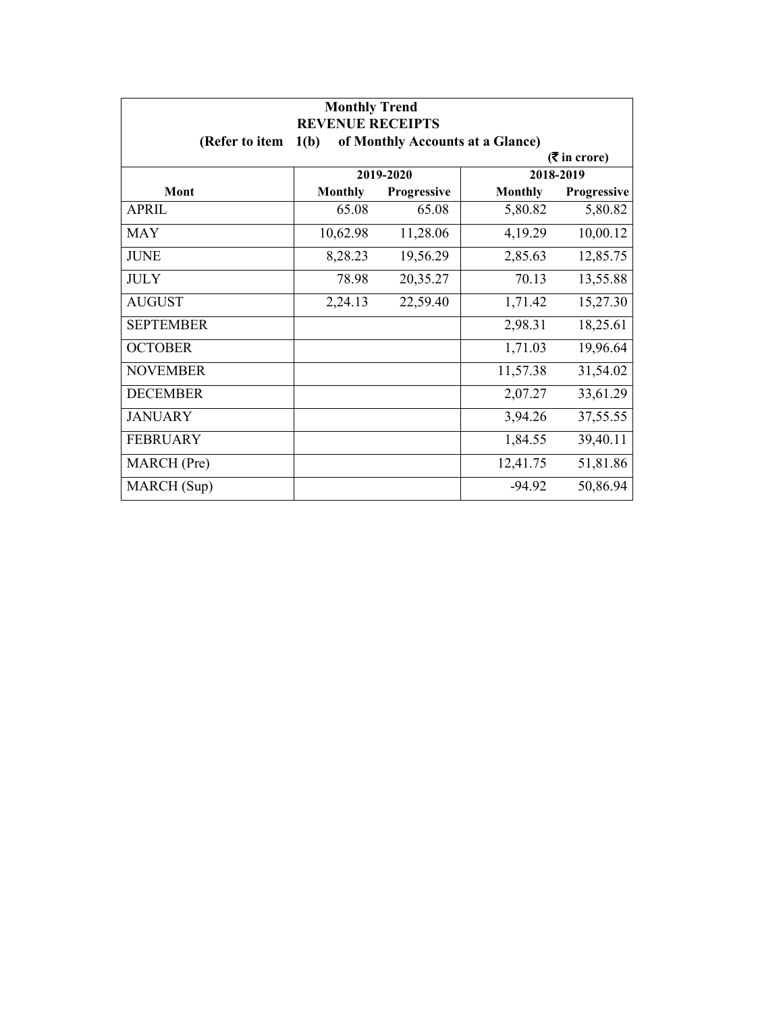| <b>Monthly Trend</b><br><b>REVENUE RECEIPTS</b> |                |                                  |                |                             |
|-------------------------------------------------|----------------|----------------------------------|----------------|-----------------------------|
| (Refer to item                                  | 1(b)           | of Monthly Accounts at a Glance) |                |                             |
|                                                 |                |                                  |                | $(3\overline{5})$ in crore) |
|                                                 |                | 2019-2020                        |                | 2018-2019                   |
| Mont                                            | <b>Monthly</b> | Progressive                      | <b>Monthly</b> | Progressive                 |
| <b>APRIL</b>                                    | 65.08          | 65.08                            | 5,80.82        | 5,80.82                     |
| <b>MAY</b>                                      | 10,62.98       | 11,28.06                         | 4,19.29        | 10,00.12                    |
| <b>JUNE</b>                                     | 8,28.23        | 19,56.29                         | 2,85.63        | 12,85.75                    |
| <b>JULY</b>                                     | 78.98          | 20,35.27                         | 70.13          | 13,55.88                    |
| <b>AUGUST</b>                                   | 2,24.13        | 22,59.40                         | 1,71.42        | 15,27.30                    |
| <b>SEPTEMBER</b>                                |                |                                  | 2,98.31        | 18,25.61                    |
| <b>OCTOBER</b>                                  |                |                                  | 1,71.03        | 19,96.64                    |
| <b>NOVEMBER</b>                                 |                |                                  | 11,57.38       | 31,54.02                    |
| <b>DECEMBER</b>                                 |                |                                  | 2,07.27        | 33,61.29                    |
| <b>JANUARY</b>                                  |                |                                  | 3,94.26        | 37,55.55                    |
| <b>FEBRUARY</b>                                 |                |                                  | 1,84.55        | 39,40.11                    |
| MARCH (Pre)                                     |                |                                  | 12,41.75       | 51,81.86                    |
| MARCH (Sup)                                     |                |                                  | $-94.92$       | 50,86.94                    |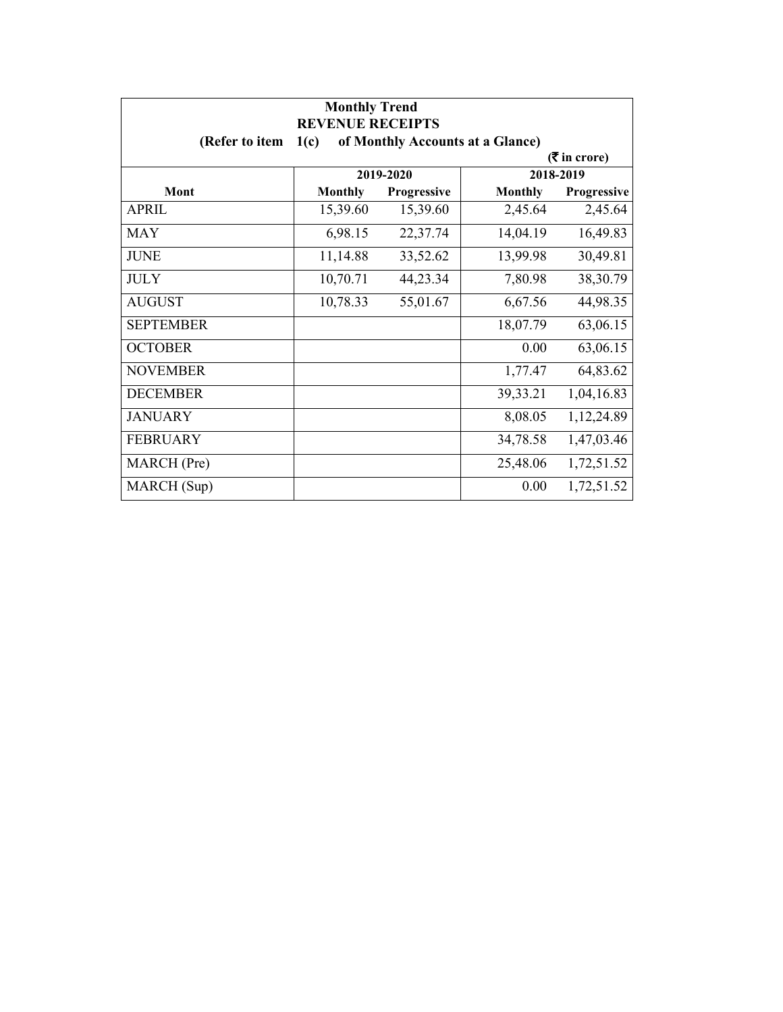| <b>Monthly Trend</b><br><b>REVENUE RECEIPTS</b> |                |             |                                  |                             |
|-------------------------------------------------|----------------|-------------|----------------------------------|-----------------------------|
| (Refer to item                                  | 1(c)           |             | of Monthly Accounts at a Glance) |                             |
|                                                 |                |             |                                  | $(3\overline{5})$ in crore) |
|                                                 |                | 2019-2020   |                                  | 2018-2019                   |
| Mont                                            | <b>Monthly</b> | Progressive | <b>Monthly</b>                   | Progressive                 |
| APRIL                                           | 15,39.60       | 15,39.60    | 2,45.64                          | 2,45.64                     |
| <b>MAY</b>                                      | 6,98.15        | 22,37.74    | 14,04.19                         | 16,49.83                    |
| <b>JUNE</b>                                     | 11,14.88       | 33,52.62    | 13,99.98                         | 30,49.81                    |
| <b>JULY</b>                                     | 10,70.71       | 44,23.34    | 7,80.98                          | 38,30.79                    |
| <b>AUGUST</b>                                   | 10,78.33       | 55,01.67    | 6,67.56                          | 44,98.35                    |
| <b>SEPTEMBER</b>                                |                |             | 18,07.79                         | 63,06.15                    |
| <b>OCTOBER</b>                                  |                |             | 0.00                             | 63,06.15                    |
| <b>NOVEMBER</b>                                 |                |             | 1,77.47                          | 64,83.62                    |
| <b>DECEMBER</b>                                 |                |             | 39,33.21                         | 1,04,16.83                  |
| <b>JANUARY</b>                                  |                |             | 8,08.05                          | 1,12,24.89                  |
| <b>FEBRUARY</b>                                 |                |             | 34,78.58                         | 1,47,03.46                  |
| MARCH (Pre)                                     |                |             | 25,48.06                         | 1,72,51.52                  |
| MARCH (Sup)                                     |                |             | 0.00                             | 1,72,51.52                  |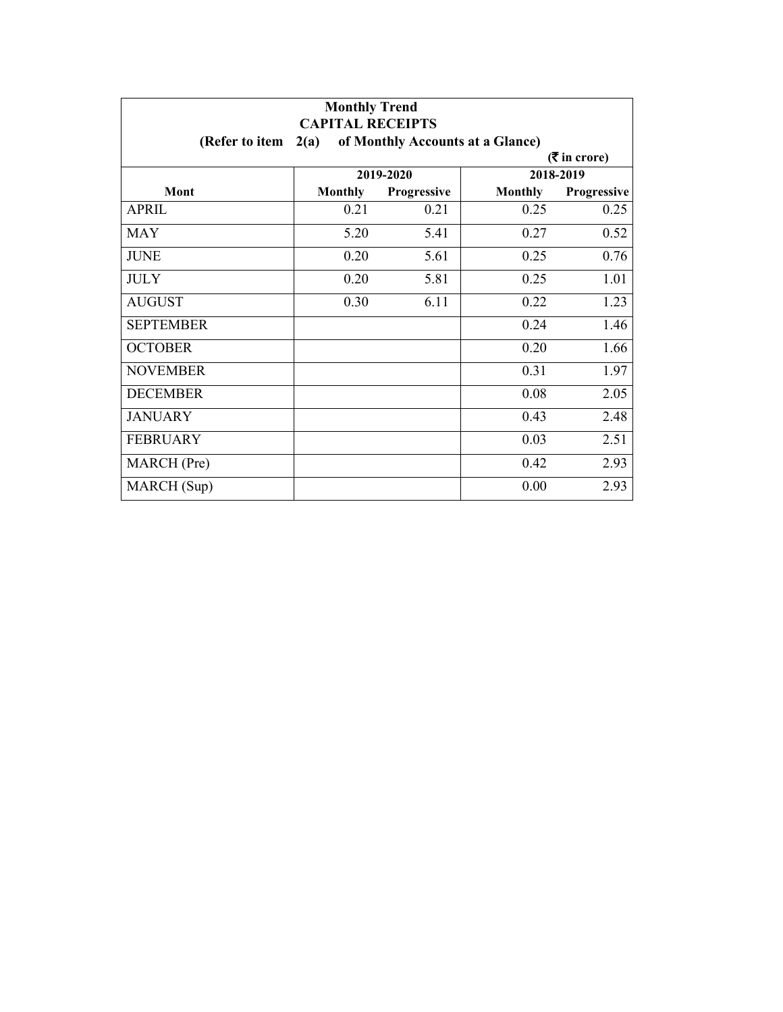| <b>Monthly Trend</b><br><b>CAPITAL RECEIPTS</b> |                |             |                                  |                 |
|-------------------------------------------------|----------------|-------------|----------------------------------|-----------------|
| (Refer to item                                  | 2(a)           |             | of Monthly Accounts at a Glance) |                 |
|                                                 |                |             |                                  | $($ ₹ in crore) |
|                                                 |                | 2019-2020   |                                  | 2018-2019       |
| Mont                                            | <b>Monthly</b> | Progressive | <b>Monthly</b>                   | Progressive     |
| <b>APRIL</b>                                    | 0.21           | 0.21        | 0.25                             | 0.25            |
| MAY                                             | 5.20           | 5.41        | 0.27                             | 0.52            |
| <b>JUNE</b>                                     | 0.20           | 5.61        | 0.25                             | 0.76            |
| <b>JULY</b>                                     | 0.20           | 5.81        | 0.25                             | 1.01            |
| <b>AUGUST</b>                                   | 0.30           | 6.11        | 0.22                             | 1.23            |
| <b>SEPTEMBER</b>                                |                |             | 0.24                             | 1.46            |
| <b>OCTOBER</b>                                  |                |             | 0.20                             | 1.66            |
| <b>NOVEMBER</b>                                 |                |             | 0.31                             | 1.97            |
| <b>DECEMBER</b>                                 |                |             | 0.08                             | 2.05            |
| <b>JANUARY</b>                                  |                |             | 0.43                             | 2.48            |
| <b>FEBRUARY</b>                                 |                |             | 0.03                             | 2.51            |
| MARCH (Pre)                                     |                |             | 0.42                             | 2.93            |
| MARCH (Sup)                                     |                |             | 0.00                             | 2.93            |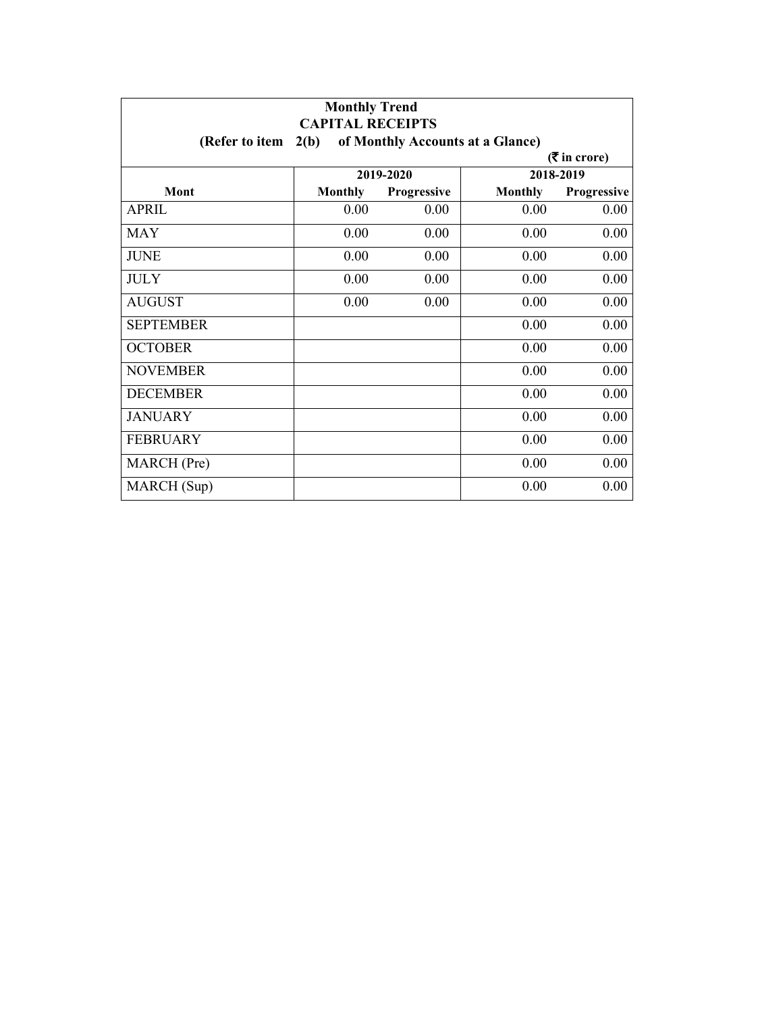| <b>Monthly Trend</b><br><b>CAPITAL RECEIPTS</b> |                |                                  |                |                             |
|-------------------------------------------------|----------------|----------------------------------|----------------|-----------------------------|
| (Refer to item                                  | 2(b)           | of Monthly Accounts at a Glance) |                |                             |
|                                                 |                |                                  |                | $(3\overline{5})$ in crore) |
|                                                 |                | 2019-2020                        |                | 2018-2019                   |
| Mont                                            | <b>Monthly</b> | Progressive                      | <b>Monthly</b> | Progressive                 |
| <b>APRIL</b>                                    | 0.00           | 0.00                             | 0.00           | 0.00                        |
| <b>MAY</b>                                      | 0.00           | 0.00                             | 0.00           | 0.00                        |
| <b>JUNE</b>                                     | 0.00           | 0.00                             | 0.00           | 0.00                        |
| <b>JULY</b>                                     | 0.00           | 0.00                             | 0.00           | 0.00                        |
| <b>AUGUST</b>                                   | 0.00           | 0.00                             | 0.00           | 0.00                        |
| <b>SEPTEMBER</b>                                |                |                                  | 0.00           | 0.00                        |
| <b>OCTOBER</b>                                  |                |                                  | 0.00           | 0.00                        |
| <b>NOVEMBER</b>                                 |                |                                  | 0.00           | 0.00                        |
| <b>DECEMBER</b>                                 |                |                                  | 0.00           | 0.00                        |
| <b>JANUARY</b>                                  |                |                                  | 0.00           | 0.00                        |
| <b>FEBRUARY</b>                                 |                |                                  | 0.00           | 0.00                        |
| MARCH (Pre)                                     |                |                                  | 0.00           | 0.00                        |
| MARCH (Sup)                                     |                |                                  | 0.00           | 0.00                        |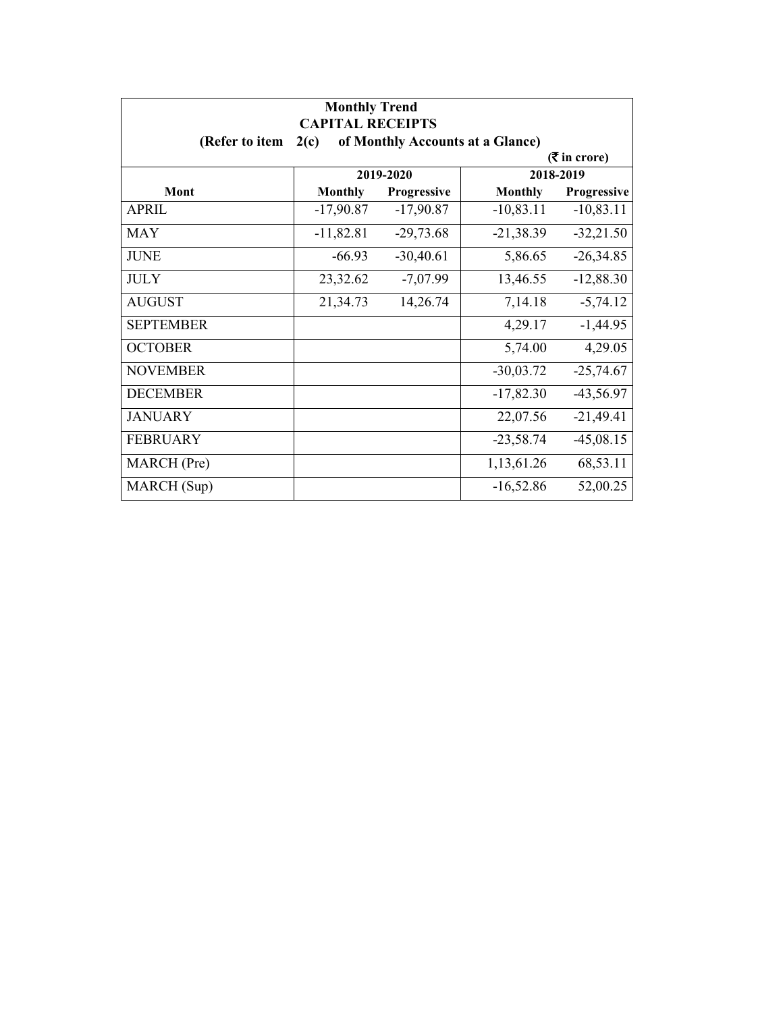| <b>Monthly Trend</b><br><b>CAPITAL RECEIPTS</b> |                             |                                  |                |             |  |
|-------------------------------------------------|-----------------------------|----------------------------------|----------------|-------------|--|
| (Refer to item                                  | 2(c)                        | of Monthly Accounts at a Glance) |                |             |  |
|                                                 | $(3\overline{5})$ in crore) |                                  |                |             |  |
|                                                 |                             | 2019-2020                        |                | 2018-2019   |  |
| Mont                                            | <b>Monthly</b>              | Progressive                      | <b>Monthly</b> | Progressive |  |
| <b>APRIL</b>                                    | $-17,90.87$                 | $-17,90.87$                      | $-10,83.11$    | $-10,83.11$ |  |
| <b>MAY</b>                                      | $-11,82.81$                 | $-29,73.68$                      | $-21,38.39$    | $-32,21.50$ |  |
| <b>JUNE</b>                                     | $-66.93$                    | $-30,40.61$                      | 5,86.65        | $-26,34.85$ |  |
| <b>JULY</b>                                     | 23,32.62                    | $-7,07.99$                       | 13,46.55       | $-12,88.30$ |  |
| <b>AUGUST</b>                                   | 21,34.73                    | 14,26.74                         | 7,14.18        | $-5,74.12$  |  |
| <b>SEPTEMBER</b>                                |                             |                                  | 4,29.17        | $-1,44.95$  |  |
| <b>OCTOBER</b>                                  |                             |                                  | 5,74.00        | 4,29.05     |  |
| <b>NOVEMBER</b>                                 |                             |                                  | $-30,03.72$    | $-25,74.67$ |  |
| <b>DECEMBER</b>                                 |                             |                                  | $-17,82.30$    | $-43,56.97$ |  |
| <b>JANUARY</b>                                  |                             |                                  | 22,07.56       | $-21,49.41$ |  |
| <b>FEBRUARY</b>                                 |                             |                                  | $-23,58.74$    | $-45,08.15$ |  |
| MARCH (Pre)                                     |                             |                                  | 1,13,61.26     | 68,53.11    |  |
| MARCH (Sup)                                     |                             |                                  | $-16,52.86$    | 52,00.25    |  |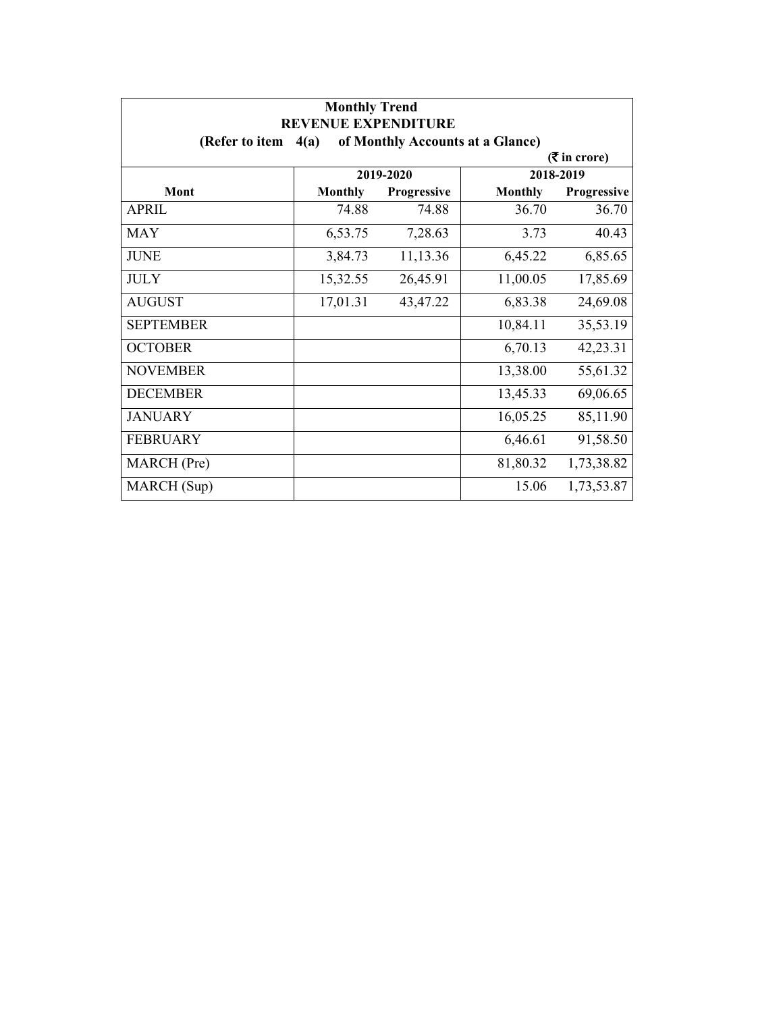| <b>Monthly Trend</b><br><b>REVENUE EXPENDITURE</b> |                |                                  |                |                             |
|----------------------------------------------------|----------------|----------------------------------|----------------|-----------------------------|
| (Refer to item                                     | 4(a)           | of Monthly Accounts at a Glance) |                |                             |
|                                                    |                |                                  |                | $(3\overline{5})$ in crore) |
|                                                    |                | 2019-2020                        |                | 2018-2019                   |
| Mont                                               | <b>Monthly</b> | Progressive                      | <b>Monthly</b> | <b>Progressive</b>          |
| APRIL                                              | 74.88          | 74.88                            | 36.70          | 36.70                       |
| <b>MAY</b>                                         | 6,53.75        | 7,28.63                          | 3.73           | 40.43                       |
| <b>JUNE</b>                                        | 3,84.73        | 11,13.36                         | 6,45.22        | 6,85.65                     |
| <b>JULY</b>                                        | 15,32.55       | 26,45.91                         | 11,00.05       | 17,85.69                    |
| <b>AUGUST</b>                                      | 17,01.31       | 43,47.22                         | 6,83.38        | 24,69.08                    |
| <b>SEPTEMBER</b>                                   |                |                                  | 10,84.11       | 35,53.19                    |
| <b>OCTOBER</b>                                     |                |                                  | 6,70.13        | 42,23.31                    |
| <b>NOVEMBER</b>                                    |                |                                  | 13,38.00       | 55,61.32                    |
| <b>DECEMBER</b>                                    |                |                                  | 13,45.33       | 69,06.65                    |
| <b>JANUARY</b>                                     |                |                                  | 16,05.25       | 85,11.90                    |
| <b>FEBRUARY</b>                                    |                |                                  | 6,46.61        | 91,58.50                    |
| MARCH (Pre)                                        |                |                                  | 81,80.32       | 1,73,38.82                  |
| MARCH (Sup)                                        |                |                                  | 15.06          | 1,73,53.87                  |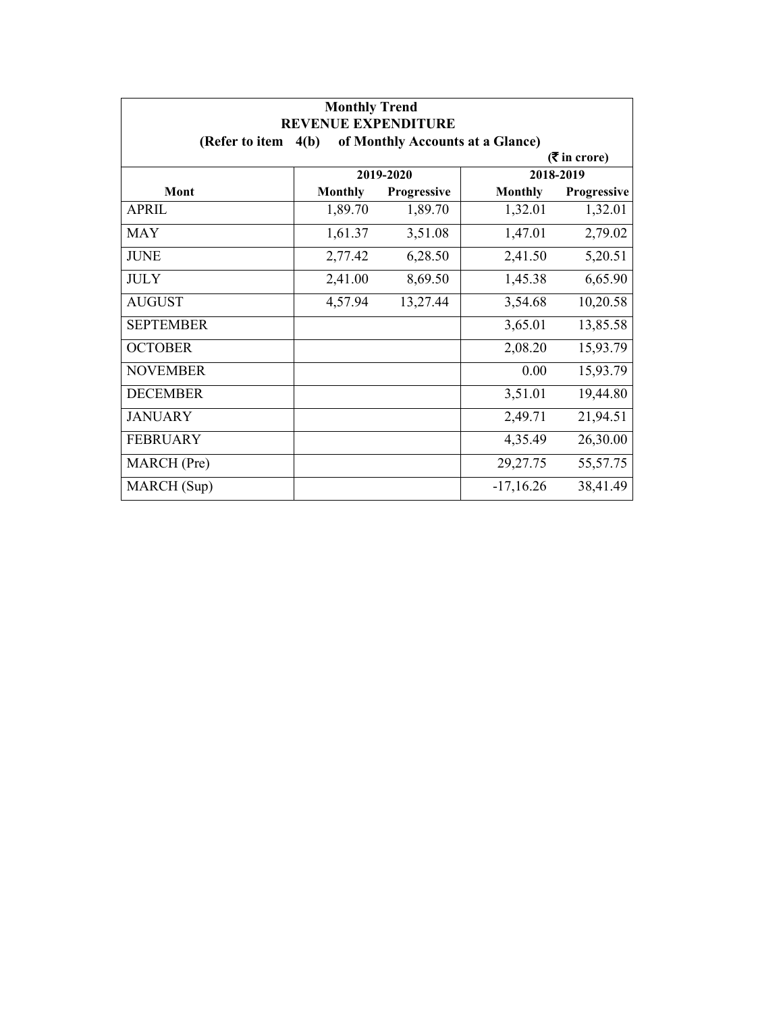| <b>Monthly Trend</b><br><b>REVENUE EXPENDITURE</b> |                |             |                                  |                             |
|----------------------------------------------------|----------------|-------------|----------------------------------|-----------------------------|
| (Refer to item $4(b)$ )                            |                |             | of Monthly Accounts at a Glance) |                             |
|                                                    |                |             |                                  | $(3\overline{5})$ in crore) |
|                                                    |                | 2019-2020   |                                  | 2018-2019                   |
| Mont                                               | <b>Monthly</b> | Progressive | <b>Monthly</b>                   | Progressive                 |
| <b>APRIL</b>                                       | 1,89.70        | 1,89.70     | 1,32.01                          | 1,32.01                     |
| <b>MAY</b>                                         | 1,61.37        | 3,51.08     | 1,47.01                          | 2,79.02                     |
| <b>JUNE</b>                                        | 2,77.42        | 6,28.50     | 2,41.50                          | 5,20.51                     |
| <b>JULY</b>                                        | 2,41.00        | 8,69.50     | 1,45.38                          | 6,65.90                     |
| <b>AUGUST</b>                                      | 4,57.94        | 13,27.44    | 3,54.68                          | 10,20.58                    |
| <b>SEPTEMBER</b>                                   |                |             | 3,65.01                          | 13,85.58                    |
| <b>OCTOBER</b>                                     |                |             | 2,08.20                          | 15,93.79                    |
| <b>NOVEMBER</b>                                    |                |             | 0.00                             | 15,93.79                    |
| <b>DECEMBER</b>                                    |                |             | 3,51.01                          | 19,44.80                    |
| <b>JANUARY</b>                                     |                |             | 2,49.71                          | 21,94.51                    |
| <b>FEBRUARY</b>                                    |                |             | 4,35.49                          | 26,30.00                    |
| MARCH (Pre)                                        |                |             | 29,27.75                         | 55,57.75                    |
| MARCH (Sup)                                        |                |             | $-17,16.26$                      | 38,41.49                    |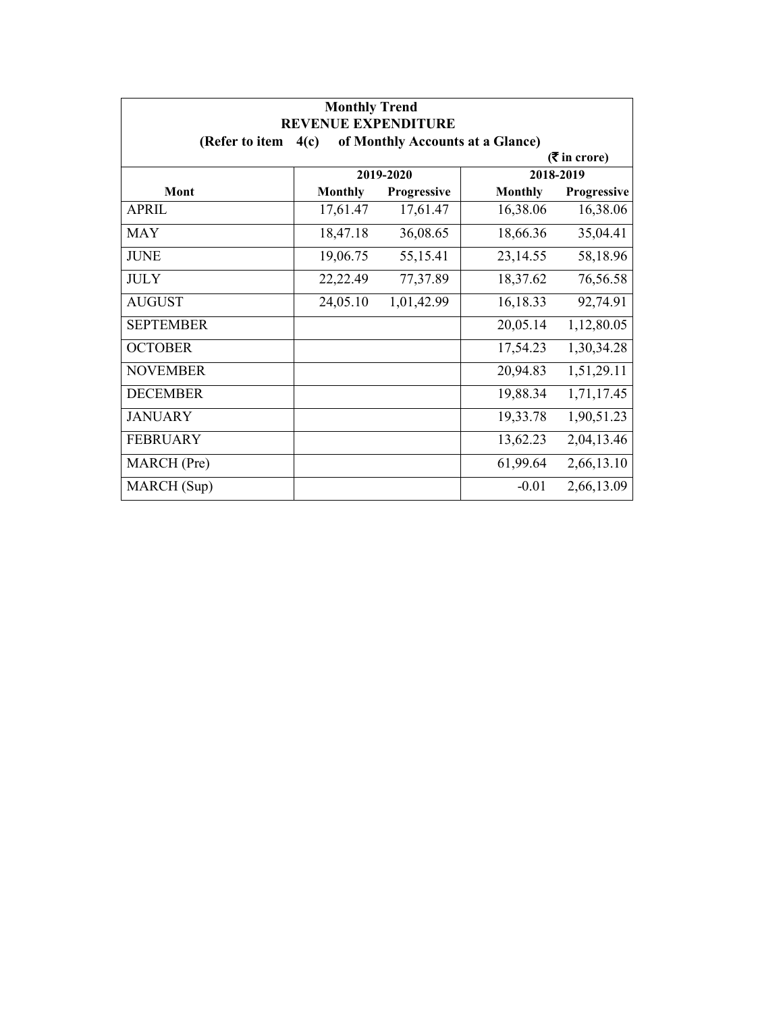| <b>Monthly Trend</b><br><b>REVENUE EXPENDITURE</b> |                |             |                                  |                             |
|----------------------------------------------------|----------------|-------------|----------------------------------|-----------------------------|
| (Refer to item                                     | 4(c)           |             | of Monthly Accounts at a Glance) |                             |
|                                                    |                |             |                                  | $(3\overline{5})$ in crore) |
|                                                    |                | 2019-2020   |                                  | 2018-2019                   |
| Mont                                               | <b>Monthly</b> | Progressive | <b>Monthly</b>                   | Progressive                 |
| <b>APRIL</b>                                       | 17,61.47       | 17,61.47    | 16,38.06                         | 16,38.06                    |
| <b>MAY</b>                                         | 18,47.18       | 36,08.65    | 18,66.36                         | 35,04.41                    |
| <b>JUNE</b>                                        | 19,06.75       | 55,15.41    | 23,14.55                         | 58,18.96                    |
| <b>JULY</b>                                        | 22,22.49       | 77,37.89    | 18,37.62                         | 76,56.58                    |
| <b>AUGUST</b>                                      | 24,05.10       | 1,01,42.99  | 16,18.33                         | 92,74.91                    |
| <b>SEPTEMBER</b>                                   |                |             | 20,05.14                         | 1,12,80.05                  |
| <b>OCTOBER</b>                                     |                |             | 17,54.23                         | 1,30,34.28                  |
| <b>NOVEMBER</b>                                    |                |             | 20,94.83                         | 1,51,29.11                  |
| <b>DECEMBER</b>                                    |                |             | 19,88.34                         | 1,71,17.45                  |
| <b>JANUARY</b>                                     |                |             | 19,33.78                         | 1,90,51.23                  |
| <b>FEBRUARY</b>                                    |                |             | 13,62.23                         | 2,04,13.46                  |
| MARCH (Pre)                                        |                |             | 61,99.64                         | 2,66,13.10                  |
| MARCH (Sup)                                        |                |             | $-0.01$                          | 2,66,13.09                  |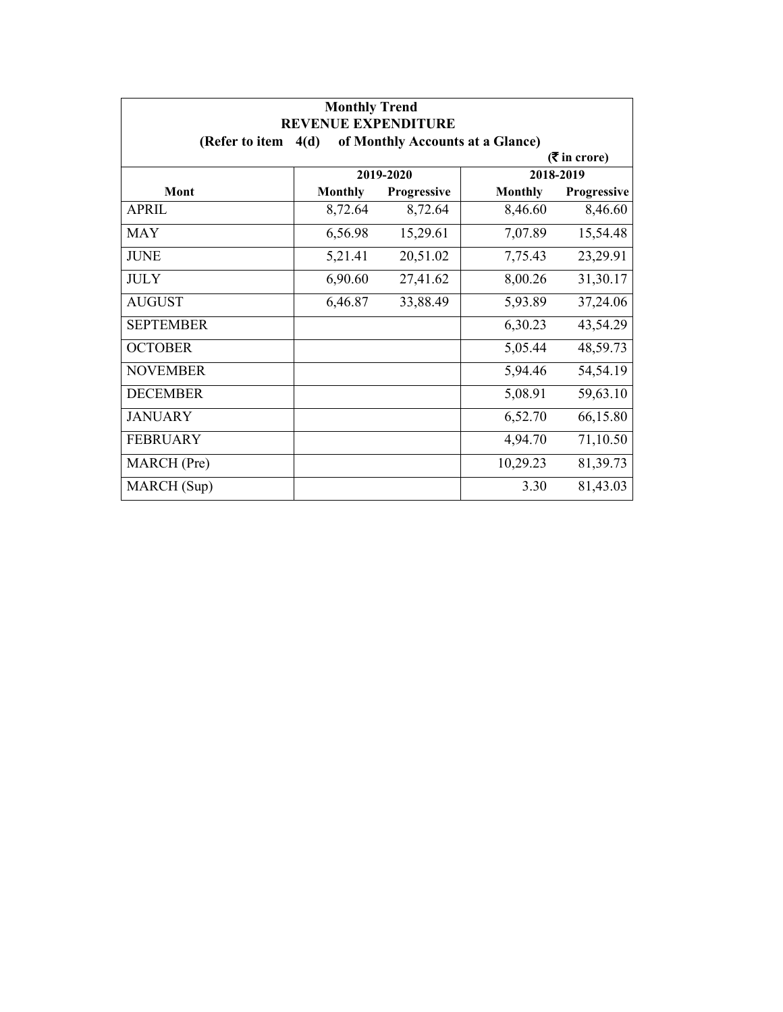| <b>Monthly Trend</b><br><b>REVENUE EXPENDITURE</b> |                |             |                                  |                             |
|----------------------------------------------------|----------------|-------------|----------------------------------|-----------------------------|
| (Refer to item                                     | 4(d)           |             | of Monthly Accounts at a Glance) |                             |
|                                                    |                |             |                                  | $(3\overline{5})$ in crore) |
|                                                    |                | 2019-2020   |                                  | 2018-2019                   |
| Mont                                               | <b>Monthly</b> | Progressive | <b>Monthly</b>                   | Progressive                 |
| <b>APRIL</b>                                       | 8,72.64        | 8,72.64     | 8,46.60                          | 8,46.60                     |
| <b>MAY</b>                                         | 6,56.98        | 15,29.61    | 7,07.89                          | 15,54.48                    |
| <b>JUNE</b>                                        | 5,21.41        | 20,51.02    | 7,75.43                          | 23,29.91                    |
| <b>JULY</b>                                        | 6,90.60        | 27,41.62    | 8,00.26                          | 31,30.17                    |
| <b>AUGUST</b>                                      | 6,46.87        | 33,88.49    | 5,93.89                          | 37,24.06                    |
| <b>SEPTEMBER</b>                                   |                |             | 6,30.23                          | 43,54.29                    |
| <b>OCTOBER</b>                                     |                |             | 5,05.44                          | 48,59.73                    |
| <b>NOVEMBER</b>                                    |                |             | 5,94.46                          | 54,54.19                    |
| <b>DECEMBER</b>                                    |                |             | 5,08.91                          | 59,63.10                    |
| <b>JANUARY</b>                                     |                |             | 6,52.70                          | 66,15.80                    |
| <b>FEBRUARY</b>                                    |                |             | 4,94.70                          | 71,10.50                    |
| MARCH (Pre)                                        |                |             | 10,29.23                         | 81,39.73                    |
| MARCH (Sup)                                        |                |             | 3.30                             | 81,43.03                    |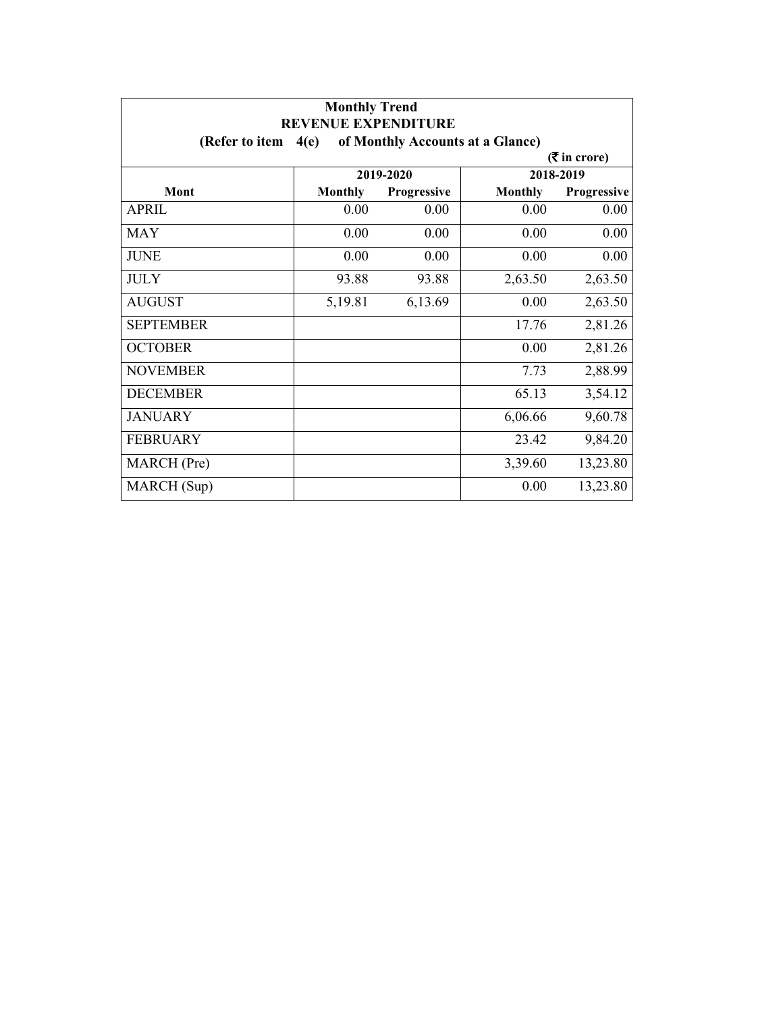| <b>Monthly Trend</b><br><b>REVENUE EXPENDITURE</b> |                |                                  |                |                             |
|----------------------------------------------------|----------------|----------------------------------|----------------|-----------------------------|
| (Refer to item                                     | 4(e)           | of Monthly Accounts at a Glance) |                |                             |
|                                                    |                |                                  |                | $(3\overline{5})$ in crore) |
|                                                    |                | 2019-2020                        |                | 2018-2019                   |
| Mont                                               | <b>Monthly</b> | Progressive                      | <b>Monthly</b> | Progressive                 |
| <b>APRIL</b>                                       | 0.00           | 0.00                             | 0.00           | 0.00                        |
| <b>MAY</b>                                         | 0.00           | 0.00                             | 0.00           | 0.00                        |
| <b>JUNE</b>                                        | 0.00           | 0.00                             | 0.00           | 0.00                        |
| <b>JULY</b>                                        | 93.88          | 93.88                            | 2,63.50        | 2,63.50                     |
| <b>AUGUST</b>                                      | 5,19.81        | 6,13.69                          | 0.00           | 2,63.50                     |
| <b>SEPTEMBER</b>                                   |                |                                  | 17.76          | 2,81.26                     |
| <b>OCTOBER</b>                                     |                |                                  | 0.00           | 2,81.26                     |
| <b>NOVEMBER</b>                                    |                |                                  | 7.73           | 2,88.99                     |
| <b>DECEMBER</b>                                    |                |                                  | 65.13          | 3,54.12                     |
| <b>JANUARY</b>                                     |                |                                  | 6,06.66        | 9,60.78                     |
| <b>FEBRUARY</b>                                    |                |                                  | 23.42          | 9,84.20                     |
| MARCH (Pre)                                        |                |                                  | 3,39.60        | 13,23.80                    |
| MARCH (Sup)                                        |                |                                  | 0.00           | 13,23.80                    |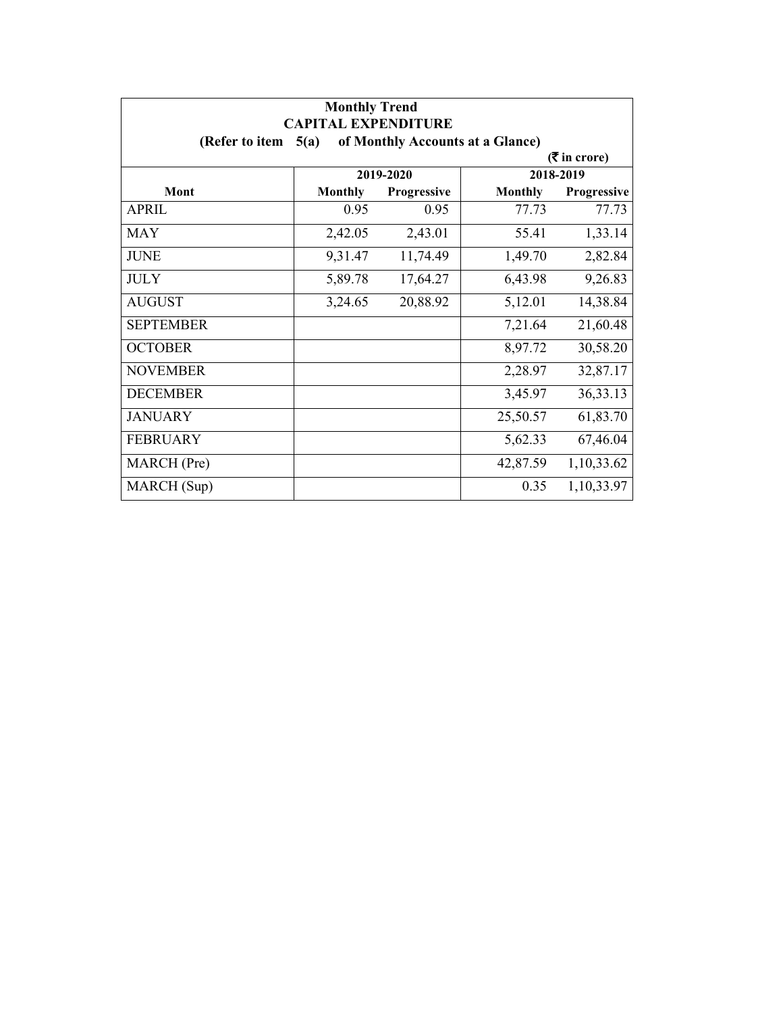| <b>Monthly Trend</b><br><b>CAPITAL EXPENDITURE</b>         |                             |             |                |             |  |  |  |
|------------------------------------------------------------|-----------------------------|-------------|----------------|-------------|--|--|--|
| of Monthly Accounts at a Glance)<br>(Refer to item<br>5(a) |                             |             |                |             |  |  |  |
|                                                            | $(3\overline{5})$ in crore) |             |                |             |  |  |  |
|                                                            | 2019-2020                   |             | 2018-2019      |             |  |  |  |
| Mont                                                       | <b>Monthly</b>              | Progressive | <b>Monthly</b> | Progressive |  |  |  |
| <b>APRIL</b>                                               | 0.95                        | 0.95        | 77.73          | 77.73       |  |  |  |
| <b>MAY</b>                                                 | 2,42.05                     | 2,43.01     | 55.41          | 1,33.14     |  |  |  |
| <b>JUNE</b>                                                | 9,31.47                     | 11,74.49    | 1,49.70        | 2,82.84     |  |  |  |
| <b>JULY</b>                                                | 5,89.78                     | 17,64.27    | 6,43.98        | 9,26.83     |  |  |  |
| <b>AUGUST</b>                                              | 3,24.65                     | 20,88.92    | 5,12.01        | 14,38.84    |  |  |  |
| <b>SEPTEMBER</b>                                           |                             |             | 7,21.64        | 21,60.48    |  |  |  |
| <b>OCTOBER</b>                                             |                             |             | 8,97.72        | 30,58.20    |  |  |  |
| <b>NOVEMBER</b>                                            |                             |             | 2,28.97        | 32,87.17    |  |  |  |
| <b>DECEMBER</b>                                            |                             |             | 3,45.97        | 36,33.13    |  |  |  |
| <b>JANUARY</b>                                             |                             |             | 25,50.57       | 61,83.70    |  |  |  |
| <b>FEBRUARY</b>                                            |                             |             | 5,62.33        | 67,46.04    |  |  |  |
| MARCH (Pre)                                                |                             |             | 42,87.59       | 1,10,33.62  |  |  |  |
| MARCH (Sup)                                                |                             |             | 0.35           | 1,10,33.97  |  |  |  |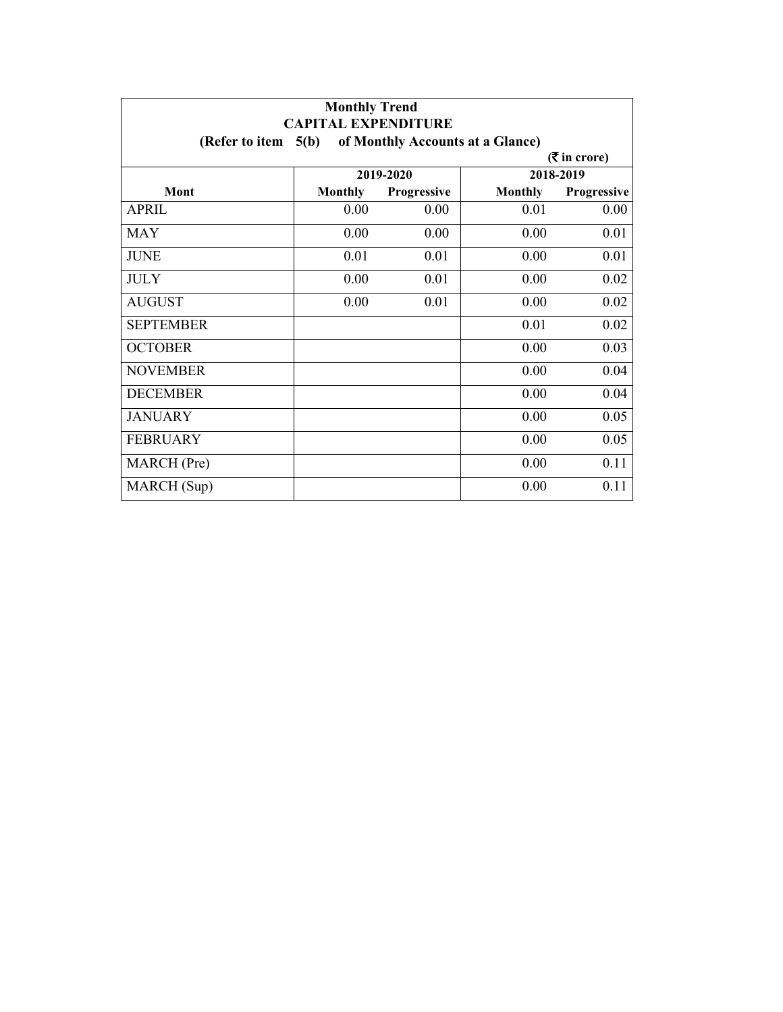| <b>Monthly Trend</b><br><b>CAPITAL EXPENDITURE</b>         |                |             |                |             |  |  |  |
|------------------------------------------------------------|----------------|-------------|----------------|-------------|--|--|--|
| 5(b)<br>of Monthly Accounts at a Glance)<br>(Refer to item |                |             |                |             |  |  |  |
| $($ ₹ in crore)                                            |                |             |                |             |  |  |  |
|                                                            | 2019-2020      |             | 2018-2019      |             |  |  |  |
| Mont                                                       | <b>Monthly</b> | Progressive | <b>Monthly</b> | Progressive |  |  |  |
| <b>APRIL</b>                                               | 0.00           | 0.00        | 0.01           | 0.00        |  |  |  |
| <b>MAY</b>                                                 | 0.00           | 0.00        | 0.00           | 0.01        |  |  |  |
| <b>JUNE</b>                                                | 0.01           | 0.01        | 0.00           | 0.01        |  |  |  |
| <b>JULY</b>                                                | 0.00           | 0.01        | 0.00           | 0.02        |  |  |  |
| <b>AUGUST</b>                                              | 0.00           | 0.01        | 0.00           | 0.02        |  |  |  |
| <b>SEPTEMBER</b>                                           |                |             | 0.01           | 0.02        |  |  |  |
| <b>OCTOBER</b>                                             |                |             | 0.00           | 0.03        |  |  |  |
| <b>NOVEMBER</b>                                            |                |             | 0.00           | 0.04        |  |  |  |
| <b>DECEMBER</b>                                            |                |             | 0.00           | 0.04        |  |  |  |
| <b>JANUARY</b>                                             |                |             | 0.00           | 0.05        |  |  |  |
| <b>FEBRUARY</b>                                            |                |             | 0.00           | 0.05        |  |  |  |
| MARCH (Pre)                                                |                |             | 0.00           | 0.11        |  |  |  |
| MARCH (Sup)                                                |                |             | 0.00           | 0.11        |  |  |  |